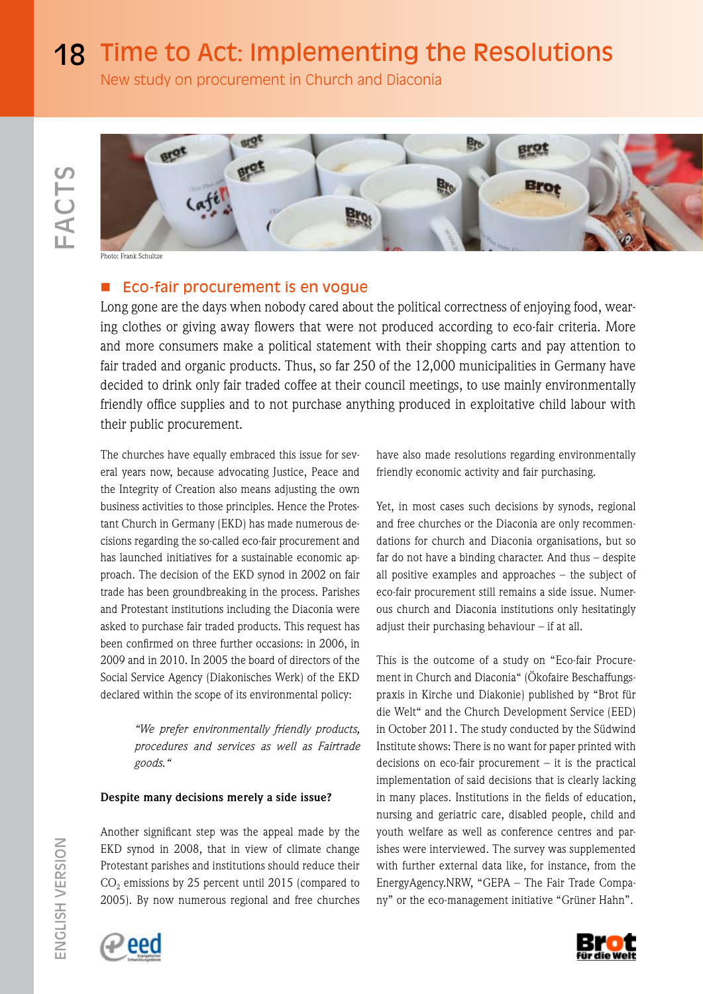18 Time to Act: Implementing the Resolutions

New study on procurement in Church and Diaconia



Phone Schultz

# Eco-fair procurement is en vogue

Long gone are the days when nobody cared about the political correctness of enjoying food, wearing clothes or giving away flowers that were not produced according to eco-fair criteria. More and more consumers make a political statement with their shopping carts and pay attention to fair traded and organic products. Thus, so far 250 of the 12,000 municipalities in Germany have decided to drink only fair traded coffee at their council meetings, to use mainly environmentally friendly office supplies and to not purchase anything produced in exploitative child labour with their public procurement.

The churches have equally embraced this issue for several years now, because advocating Justice, Peace and the Integrity of Creation also means adjusting the own business activities to those principles. Hence the Protestant Church in Germany (EKD) has made numerous decisions regarding the so-called eco-fair procurement and has launched initiatives for a sustainable economic approach. The decision of the EKD synod in 2002 on fair trade has been groundbreaking in the process. Parishes and Protestant institutions including the Diaconia were asked to purchase fair traded products. This request has been confirmed on three further occasions: in 2006, in 2009 and in 2010. In 2005 the board of directors of the Social Service Agency (Diakonisches Werk) of the EKD declared within the scope of its environmental policy:

> *"We prefer environmentally friendly products, procedures and services as well as Fairtrade goods."*

### **Despite many decisions merely a side issue?**

Another significant step was the appeal made by the EKD synod in 2008, that in view of climate change Protestant parishes and institutions should reduce their  $CO<sub>2</sub>$  emissions by 25 percent until 2015 (compared to 2005). By now numerous regional and free churches



have also made resolutions regarding environmentally friendly economic activity and fair purchasing.

Yet, in most cases such decisions by synods, regional and free churches or the Diaconia are only recommendations for church and Diaconia organisations, but so far do not have a binding character. And thus – despite all positive examples and approaches – the subject of eco-fair procurement still remains a side issue. Numerous church and Diaconia institutions only hesitatingly adjust their purchasing behaviour – if at all.

This is the outcome of a study on "Eco-fair Procurement in Church and Diaconia" (Ökofaire Beschaffungspraxis in Kirche und Diakonie) published by "Brot für die Welt" and the Church Development Service (EED) in October 2011. The study conducted by the Südwind Institute shows: There is no want for paper printed with decisions on eco-fair procurement – it is the practical implementation of said decisions that is clearly lacking in many places. Institutions in the fields of education, nursing and geriatric care, disabled people, child and youth welfare as well as conference centres and parishes were interviewed. The survey was supplemented with further external data like, for instance, from the EnergyAgency.NRW, "GEPA – The Fair Trade Company" or the eco-management initiative "Grüner Hahn".

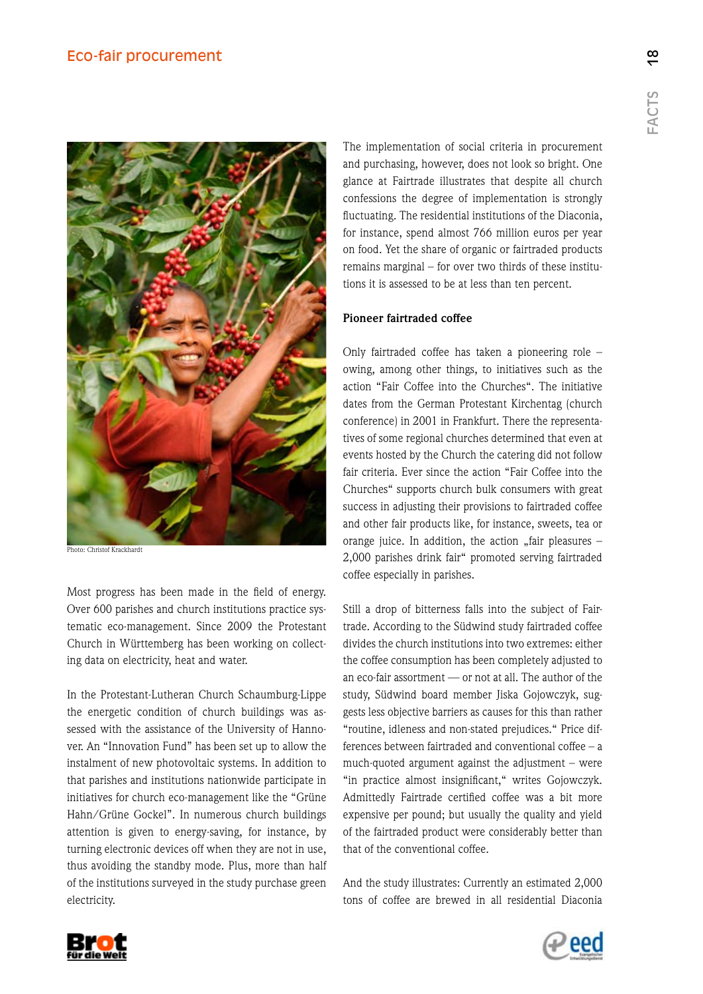

Photo: Christof Krackhardt

Most progress has been made in the field of energy. Over 600 parishes and church institutions practice systematic eco-management. Since 2009 the Protestant Church in Württemberg has been working on collecting data on electricity, heat and water.

In the Protestant-Lutheran Church Schaumburg-Lippe the energetic condition of church buildings was assessed with the assistance of the University of Hannover. An "Innovation Fund" has been set up to allow the instalment of new photovoltaic systems. In addition to that parishes and institutions nationwide participate in initiatives for church eco-management like the "Grüne Hahn/Grüne Gockel". In numerous church buildings attention is given to energy-saving, for instance, by turning electronic devices off when they are not in use, thus avoiding the standby mode. Plus, more than half of the institutions surveyed in the study purchase green electricity.

The implementation of social criteria in procurement and purchasing, however, does not look so bright. One glance at Fairtrade illustrates that despite all church confessions the degree of implementation is strongly fluctuating. The residential institutions of the Diaconia, for instance, spend almost 766 million euros per year on food. Yet the share of organic or fairtraded products remains marginal – for over two thirds of these institutions it is assessed to be at less than ten percent.

#### **Pioneer fairtraded coffee**

Only fairtraded coffee has taken a pioneering role – owing, among other things, to initiatives such as the action "Fair Coffee into the Churches". The initiative dates from the German Protestant Kirchentag (church conference) in 2001 in Frankfurt. There the representatives of some regional churches determined that even at events hosted by the Church the catering did not follow fair criteria. Ever since the action "Fair Coffee into the Churches" supports church bulk consumers with great success in adjusting their provisions to fairtraded coffee and other fair products like, for instance, sweets, tea or orange juice. In addition, the action "fair pleasures  $-$ 2,000 parishes drink fair" promoted serving fairtraded coffee especially in parishes.

Still a drop of bitterness falls into the subject of Fairtrade. According to the Südwind study fairtraded coffee divides the church institutions into two extremes: either the coffee consumption has been completely adjusted to an eco-fair assortment — or not at all. The author of the study, Südwind board member Jiska Gojowczyk, suggests less objective barriers as causes for this than rather "routine, idleness and non-stated prejudices." Price differences between fairtraded and conventional coffee – a much-quoted argument against the adjustment – were "in practice almost insignificant," writes Gojowczyk. Admittedly Fairtrade certified coffee was a bit more expensive per pound; but usually the quality and yield of the fairtraded product were considerably better than that of the conventional coffee.

And the study illustrates: Currently an estimated 2,000 tons of coffee are brewed in all residential Diaconia



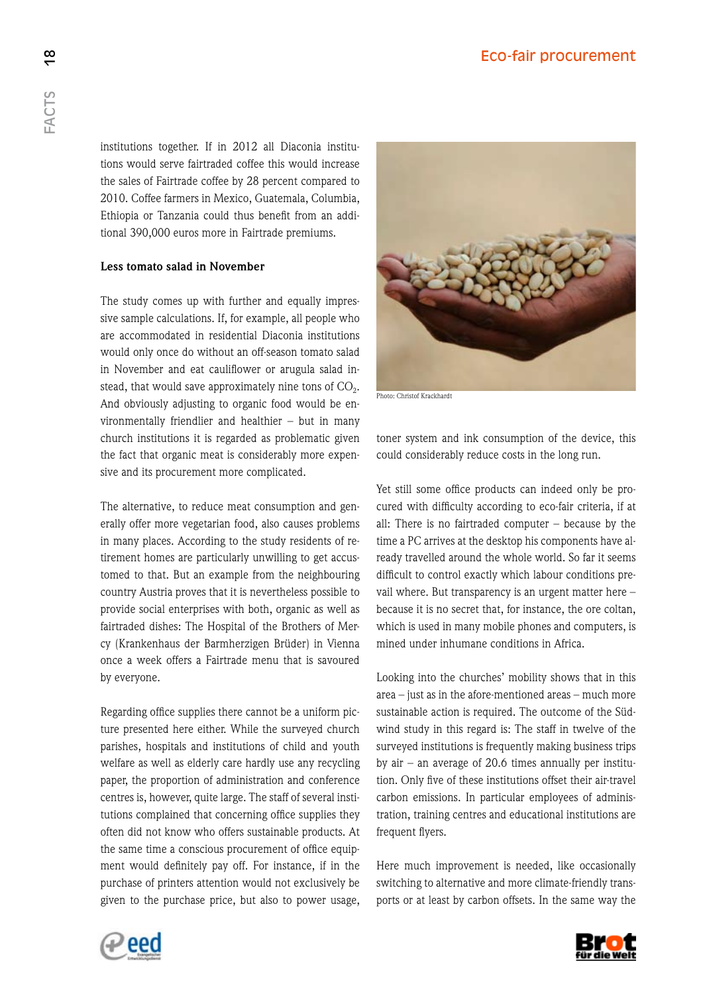institutions together. If in 2012 all Diaconia institutions would serve fairtraded coffee this would increase the sales of Fairtrade coffee by 28 percent compared to 2010. Coffee farmers in Mexico, Guatemala, Columbia, Ethiopia or Tanzania could thus benefit from an additional 390,000 euros more in Fairtrade premiums.

# **Less tomato salad in November**

The study comes up with further and equally impressive sample calculations. If, for example, all people who are accommodated in residential Diaconia institutions would only once do without an off-season tomato salad in November and eat cauliflower or arugula salad instead, that would save approximately nine tons of  $CO<sub>2</sub>$ . And obviously adjusting to organic food would be environmentally friendlier and healthier – but in many church institutions it is regarded as problematic given the fact that organic meat is considerably more expensive and its procurement more complicated.

The alternative, to reduce meat consumption and generally offer more vegetarian food, also causes problems in many places. According to the study residents of retirement homes are particularly unwilling to get accustomed to that. But an example from the neighbouring country Austria proves that it is nevertheless possible to provide social enterprises with both, organic as well as fairtraded dishes: The Hospital of the Brothers of Mercy (Krankenhaus der Barmherzigen Brüder) in Vienna once a week offers a Fairtrade menu that is savoured by everyone.

Regarding office supplies there cannot be a uniform picture presented here either. While the surveyed church parishes, hospitals and institutions of child and youth welfare as well as elderly care hardly use any recycling paper, the proportion of administration and conference centres is, however, quite large. The staff of several institutions complained that concerning office supplies they often did not know who offers sustainable products. At the same time a conscious procurement of office equipment would definitely pay off. For instance, if in the purchase of printers attention would not exclusively be given to the purchase price, but also to power usage,



Photo: Christof Krackhardt

toner system and ink consumption of the device, this could considerably reduce costs in the long run.

Yet still some office products can indeed only be procured with difficulty according to eco-fair criteria, if at all: There is no fairtraded computer – because by the time a PC arrives at the desktop his components have already travelled around the whole world. So far it seems difficult to control exactly which labour conditions prevail where. But transparency is an urgent matter here – because it is no secret that, for instance, the ore coltan, which is used in many mobile phones and computers, is mined under inhumane conditions in Africa.

Looking into the churches' mobility shows that in this area – just as in the afore-mentioned areas – much more sustainable action is required. The outcome of the Südwind study in this regard is: The staff in twelve of the surveyed institutions is frequently making business trips by air – an average of  $20.6$  times annually per institution. Only five of these institutions offset their air-travel carbon emissions. In particular employees of administration, training centres and educational institutions are frequent flyers.

Here much improvement is needed, like occasionally switching to alternative and more climate-friendly transports or at least by carbon offsets. In the same way the